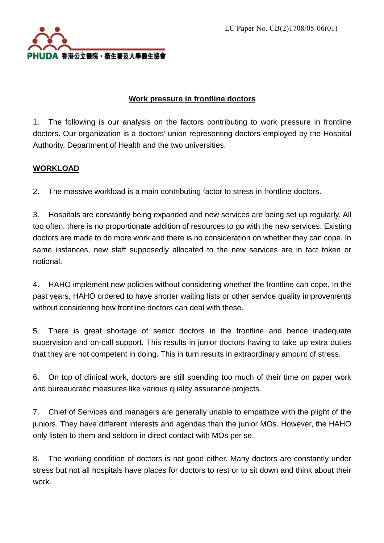

# **Work pressure in frontline doctors**

1. The following is our analysis on the factors contributing to work pressure in frontline doctors. Our organization is a doctors' union representing doctors employed by the Hospital Authority, Department of Health and the two universities.

## **WORKLOAD**

2. The massive workload is a main contributing factor to stress in frontline doctors.

3. Hospitals are constantly being expanded and new services are being set up regularly. All too often, there is no proportionate addition of resources to go with the new services. Existing doctors are made to do more work and there is no consideration on whether they can cope. In same instances, new staff supposedly allocated to the new services are in fact token or notional.

4. HAHO implement new policies without considering whether the frontline can cope. In the past years, HAHO ordered to have shorter waiting lists or other service quality improvements without considering how frontline doctors can deal with these.

5. There is great shortage of senior doctors in the frontline and hence inadequate supervision and on-call support. This results in junior doctors having to take up extra duties that they are not competent in doing. This in turn results in extraordinary amount of stress.

6. On top of clinical work, doctors are still spending too much of their time on paper work and bureaucratic measures like various quality assurance projects.

7. Chief of Services and managers are generally unable to empathize with the plight of the juniors. They have different interests and agendas than the junior MOs. However, the HAHO only listen to them and seldom in direct contact with MOs per se.

8. The working condition of doctors is not good either. Many doctors are constantly under stress but not all hospitals have places for doctors to rest or to sit down and think about their work.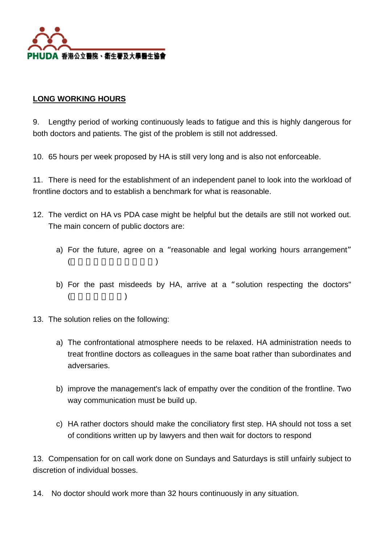

### **LONG WORKING HOURS**

9. Lengthy period of working continuously leads to fatigue and this is highly dangerous for both doctors and patients. The gist of the problem is still not addressed.

10. 65 hours per week proposed by HA is still very long and is also not enforceable.

11. There is need for the establishment of an independent panel to look into the workload of frontline doctors and to establish a benchmark for what is reasonable.

- 12. The verdict on HA vs PDA case might be helpful but the details are still not worked out. The main concern of public doctors are:
	- a) For the future, agree on a "reasonable and legal working hours arrangement"  $($
	- b) For the past misdeeds by HA, arrive at a "solution respecting the doctors"  $($
- 13. The solution relies on the following:
	- a) The confrontational atmosphere needs to be relaxed. HA administration needs to treat frontline doctors as colleagues in the same boat rather than subordinates and adversaries.
	- b) improve the management's lack of empathy over the condition of the frontline. Two way communication must be build up.
	- c) HA rather doctors should make the conciliatory first step. HA should not toss a set of conditions written up by lawyers and then wait for doctors to respond

13. Compensation for on call work done on Sundays and Saturdays is still unfairly subject to discretion of individual bosses.

14. No doctor should work more than 32 hours continuously in any situation.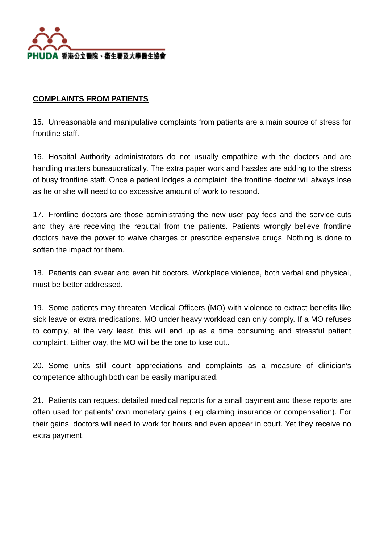

#### **COMPLAINTS FROM PATIENTS**

15. Unreasonable and manipulative complaints from patients are a main source of stress for frontline staff.

16. Hospital Authority administrators do not usually empathize with the doctors and are handling matters bureaucratically. The extra paper work and hassles are adding to the stress of busy frontline staff. Once a patient lodges a complaint, the frontline doctor will always lose as he or she will need to do excessive amount of work to respond.

17. Frontline doctors are those administrating the new user pay fees and the service cuts and they are receiving the rebuttal from the patients. Patients wrongly believe frontline doctors have the power to waive charges or prescribe expensive drugs. Nothing is done to soften the impact for them.

18. Patients can swear and even hit doctors. Workplace violence, both verbal and physical, must be better addressed.

19. Some patients may threaten Medical Officers (MO) with violence to extract benefits like sick leave or extra medications. MO under heavy workload can only comply. If a MO refuses to comply, at the very least, this will end up as a time consuming and stressful patient complaint. Either way, the MO will be the one to lose out..

20. Some units still count appreciations and complaints as a measure of clinician's competence although both can be easily manipulated.

21. Patients can request detailed medical reports for a small payment and these reports are often used for patients' own monetary gains ( eg claiming insurance or compensation). For their gains, doctors will need to work for hours and even appear in court. Yet they receive no extra payment.